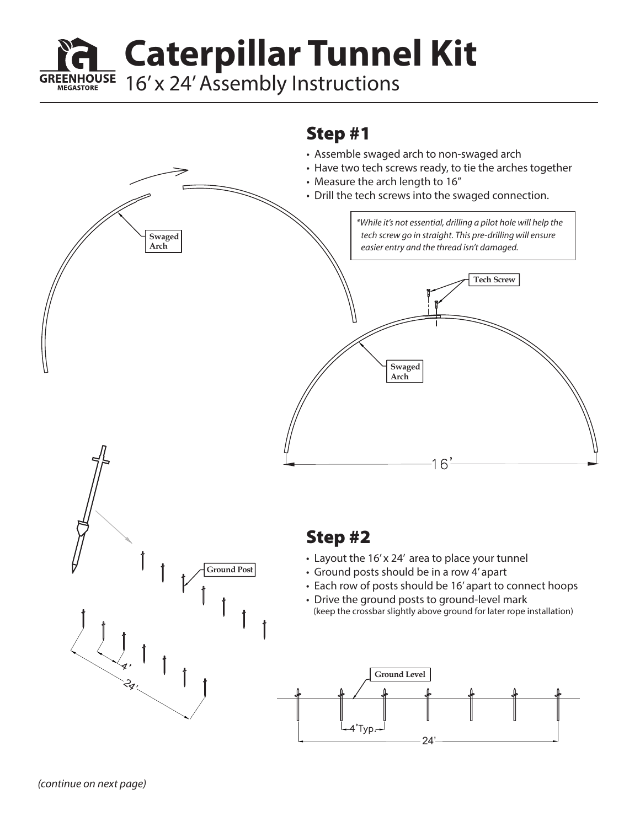**Caterpillar Tunnel Kit**

**GREENHOUSE** 16' x 24' Assembly Instructions

## Step #1

- Assemble swaged arch to non-swaged arch
- Have two tech screws ready, to tie the arches together

24'

• Measure the arch length to 16"



**MEGASTORE**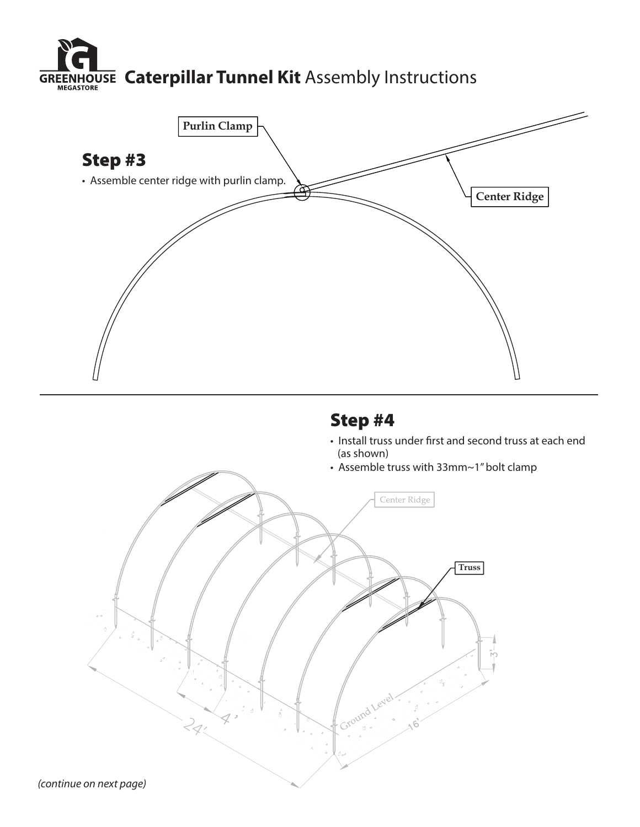

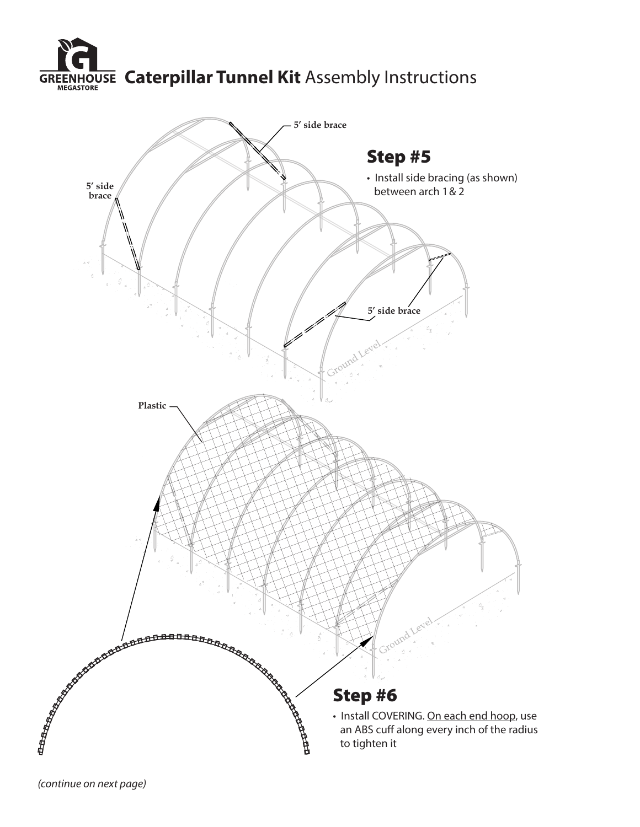